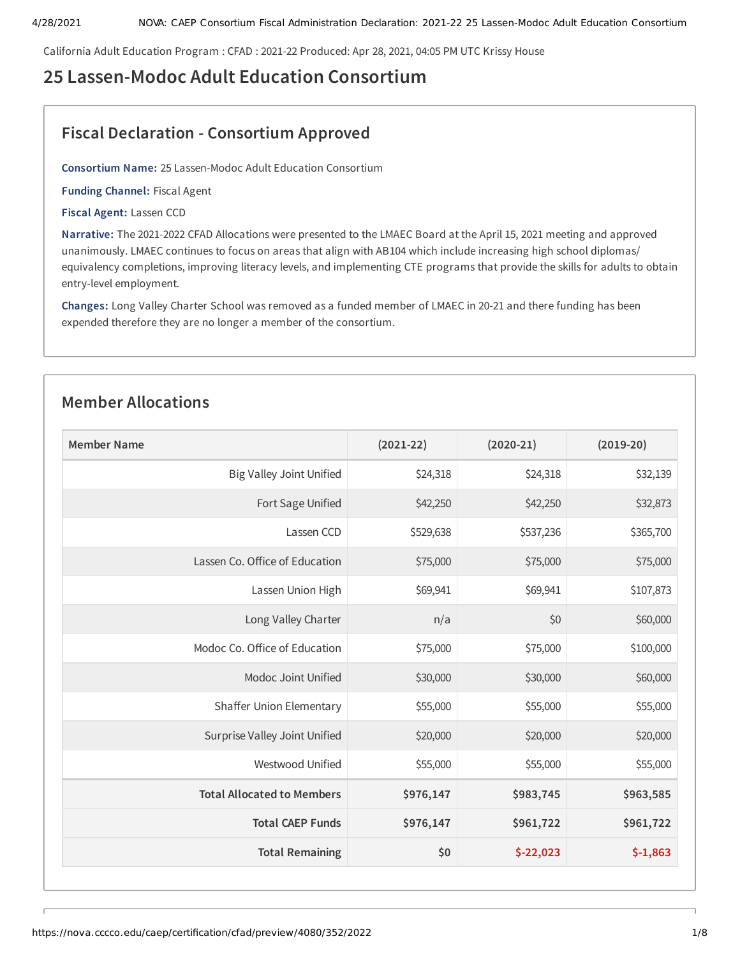California Adult Education Program : CFAD : 2021-22 Produced: Apr 28, 2021, 04:05 PM UTC Krissy House

# **25 Lassen-Modoc Adult Education Consortium**

# **Fiscal Declaration - Consortium Approved**

**Consortium Name:** 25 Lassen-Modoc Adult Education Consortium

**Funding Channel:** Fiscal Agent

**Fiscal Agent:** Lassen CCD

**Narrative:** The 2021-2022 CFAD Allocations were presented to the LMAEC Board at the April 15, 2021 meeting and approved unanimously. LMAEC continues to focus on areas that align with AB104 which include increasing high school diplomas/ equivalency completions, improving literacy levels, and implementing CTE programs that provide the skills for adults to obtain entry-level employment.

**Changes:** Long Valley Charter School was removed as a funded member of LMAEC in 20-21 and there funding has been expended therefore they are no longer a member of the consortium.

# **Member Allocations**

| <b>Member Name</b>                | $(2021 - 22)$ | $(2020-21)$ | $(2019-20)$ |
|-----------------------------------|---------------|-------------|-------------|
| Big Valley Joint Unified          | \$24,318      | \$24,318    | \$32,139    |
| Fort Sage Unified                 | \$42,250      | \$42,250    | \$32,873    |
| Lassen CCD                        | \$529,638     | \$537,236   | \$365,700   |
| Lassen Co. Office of Education    | \$75,000      | \$75,000    | \$75,000    |
| Lassen Union High                 | \$69,941      | \$69,941    | \$107,873   |
| Long Valley Charter               | n/a           | \$0         | \$60,000    |
| Modoc Co. Office of Education     | \$75,000      | \$75,000    | \$100,000   |
| Modoc Joint Unified               | \$30,000      | \$30,000    | \$60,000    |
| Shaffer Union Elementary          | \$55,000      | \$55,000    | \$55,000    |
| Surprise Valley Joint Unified     | \$20,000      | \$20,000    | \$20,000    |
| Westwood Unified                  | \$55,000      | \$55,000    | \$55,000    |
| <b>Total Allocated to Members</b> | \$976,147     | \$983,745   | \$963,585   |
| <b>Total CAEP Funds</b>           | \$976,147     | \$961,722   | \$961,722   |
| <b>Total Remaining</b>            | \$0           | $$-22,023$  | $$-1,863$   |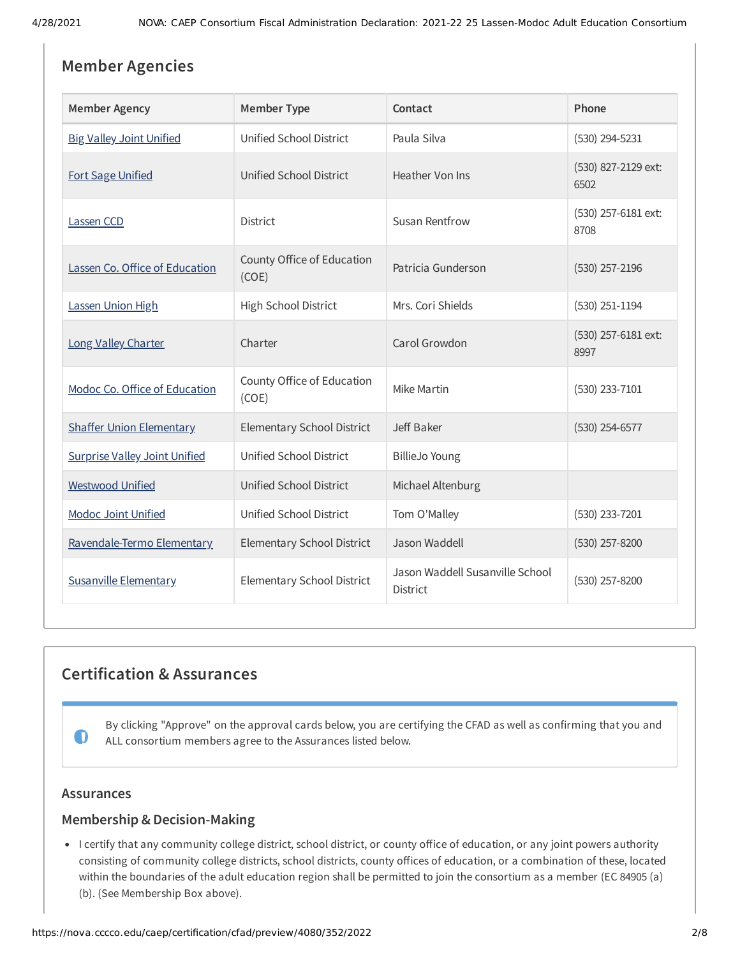# **Member Agencies**

| <b>Member Agency</b>                 | <b>Member Type</b>                  | Contact                                            | Phone                       |
|--------------------------------------|-------------------------------------|----------------------------------------------------|-----------------------------|
| <b>Big Valley Joint Unified</b>      | Unified School District             | Paula Silva                                        | (530) 294-5231              |
| <b>Fort Sage Unified</b>             | Unified School District             | Heather Von Ins                                    | (530) 827-2129 ext:<br>6502 |
| Lassen CCD                           | District                            | <b>Susan Rentfrow</b>                              | (530) 257-6181 ext:<br>8708 |
| Lassen Co. Office of Education       | County Office of Education<br>(COE) | Patricia Gunderson                                 | $(530)$ 257-2196            |
| Lassen Union High                    | High School District                | Mrs. Cori Shields                                  | $(530)$ 251-1194            |
| Long Valley Charter                  | Charter                             | Carol Growdon                                      | (530) 257-6181 ext:<br>8997 |
| Modoc Co. Office of Education        | County Office of Education<br>(COE) | Mike Martin                                        | (530) 233-7101              |
| <b>Shaffer Union Elementary</b>      | Elementary School District          | Jeff Baker                                         | (530) 254-6577              |
| <b>Surprise Valley Joint Unified</b> | Unified School District             | <b>BillieJo Young</b>                              |                             |
| <b>Westwood Unified</b>              | Unified School District             | Michael Altenburg                                  |                             |
| <b>Modoc Joint Unified</b>           | Unified School District             | Tom O'Malley                                       | (530) 233-7201              |
| Ravendale-Termo Elementary           | Elementary School District          | Jason Waddell                                      | $(530)$ 257-8200            |
| <b>Susanville Elementary</b>         | Elementary School District          | Jason Waddell Susanville School<br><b>District</b> | (530) 257-8200              |

# **Certification & Assurances**

By clicking "Approve" on the approval cards below, you are certifying the CFAD as well as confirming that you and ALL consortium members agree to the Assurances listed below.

# **Assurances**

 $\bf{O}$ 

# **Membership & Decision-Making**

• I certify that any community college district, school district, or county office of education, or any joint powers authority consisting of community college districts, school districts, county offices of education, or a combination of these, located within the boundaries of the adult education region shall be permitted to join the consortium as a member (EC 84905 (a) (b). (See Membership Box above).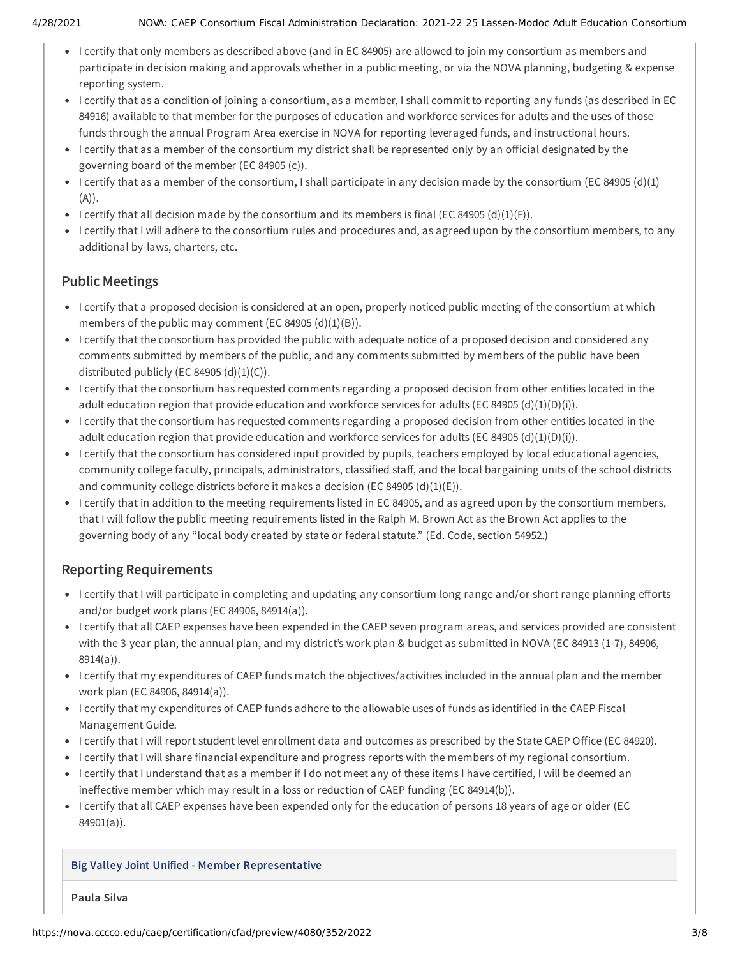- I certify that only members as described above (and in EC 84905) are allowed to join my consortium as members and participate in decision making and approvals whether in a public meeting, or via the NOVA planning, budgeting & expense reporting system.
- I certify that as a condition of joining a consortium, as a member, I shall commit to reporting any funds (as described in EC 84916) available to that member for the purposes of education and workforce services for adults and the uses of those funds through the annual Program Area exercise in NOVA for reporting leveraged funds, and instructional hours.
- I certify that as a member of the consortium my district shall be represented only by an official designated by the governing board of the member (EC 84905 (c)).
- I certify that as a member of the consortium, I shall participate in any decision made by the consortium (EC 84905 (d)(1) (A)).
- I certify that all decision made by the consortium and its members is final (EC 84905 (d)(1)(F)).
- I certify that I will adhere to the consortium rules and procedures and, as agreed upon by the consortium members, to any additional by-laws, charters, etc.

# **Public Meetings**

- I certify that a proposed decision is considered at an open, properly noticed public meeting of the consortium at which members of the public may comment (EC 84905  $(d)(1)(B)$ ).
- I certify that the consortium has provided the public with adequate notice of a proposed decision and considered any comments submitted by members of the public, and any comments submitted by members of the public have been distributed publicly (EC 84905  $(d)(1)(C)$ ).
- I certify that the consortium has requested comments regarding a proposed decision from other entities located in the adult education region that provide education and workforce services for adults (EC 84905 (d)(1)(D)(i)).
- I certify that the consortium has requested comments regarding a proposed decision from other entities located in the adult education region that provide education and workforce services for adults (EC 84905 (d)(1)(D)(i)).
- I certify that the consortium has considered input provided by pupils, teachers employed by local educational agencies, community college faculty, principals, administrators, classified staff, and the local bargaining units of the school districts and community college districts before it makes a decision (EC 84905 (d)(1)(E)).
- I certify that in addition to the meeting requirements listed in EC 84905, and as agreed upon by the consortium members, that I will follow the public meeting requirements listed in the Ralph M. Brown Act as the Brown Act applies to the governing body of any "local body created by state or federal statute." (Ed. Code, section 54952.)

# **Reporting Requirements**

- I certify that I will participate in completing and updating any consortium long range and/or short range planning efforts and/or budget work plans (EC 84906, 84914(a)).
- I certify that all CAEP expenses have been expended in the CAEP seven program areas, and services provided are consistent with the 3-year plan, the annual plan, and my district's work plan & budget as submitted in NOVA (EC 84913 (1-7), 84906, 8914(a)).
- I certify that my expenditures of CAEP funds match the objectives/activities included in the annual plan and the member work plan (EC 84906, 84914(a)).
- I certify that my expenditures of CAEP funds adhere to the allowable uses of funds as identified in the CAEP Fiscal Management Guide.
- I certify that I will report student level enrollment data and outcomes as prescribed by the State CAEP Office (EC 84920).
- I certify that I will share financial expenditure and progress reports with the members of my regional consortium.
- I certify that I understand that as a member if I do not meet any of these items I have certified, I will be deemed an ineffective member which may result in a loss or reduction of CAEP funding (EC 84914(b)).
- I certify that all CAEP expenses have been expended only for the education of persons 18 years of age or older (EC 84901(a)).

# **Big Valley Joint Unified - Member Representative**

**Paula Silva**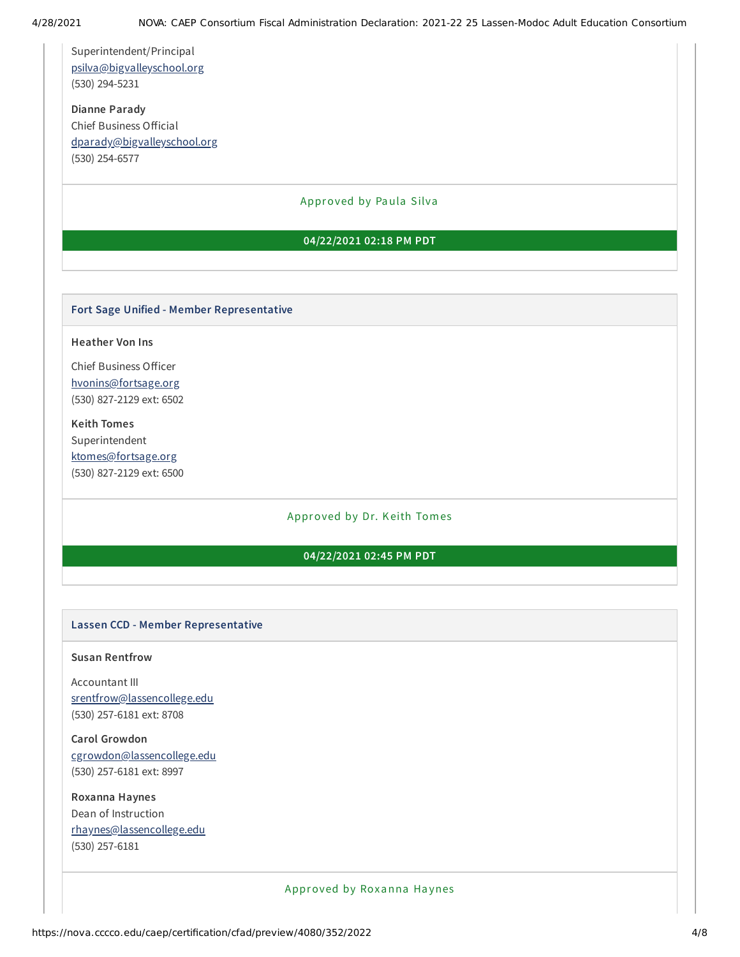Superintendent/Principal [psilva@bigvalleyschool.org](mailto:psilva@bigvalleyschool.org) (530) 294-5231

**Dianne Parady** Chief Business Official [dparady@bigvalleyschool.org](mailto:dparady@bigvalleyschool.org) (530) 254-6577

#### Approved by Paula Silva

#### **04/22/2021 02:18 PM PDT**

#### **Fort Sage Unified - Member Representative**

#### **Heather Von Ins**

Chief Business Officer [hvonins@fortsage.org](mailto:hvonins@fortsage.org) (530) 827-2129 ext: 6502

**Keith Tomes** Superintendent [ktomes@fortsage.org](mailto:ktomes@fortsage.org) (530) 827-2129 ext: 6500

#### Approved by Dr. Keith Tomes

# **04/22/2021 02:45 PM PDT**

#### **Lassen CCD - Member Representative**

#### **Susan Rentfrow**

Accountant III [srentfrow@lassencollege.edu](mailto:srentfrow@lassencollege.edu) (530) 257-6181 ext: 8708

**Carol Growdon** [cgrowdon@lassencollege.edu](mailto:cgrowdon@lassencollege.edu) (530) 257-6181 ext: 8997

**Roxanna Haynes** Dean of Instruction [rhaynes@lassencollege.edu](mailto:rhaynes@lassencollege.edu) (530) 257-6181

Approved by Roxanna Haynes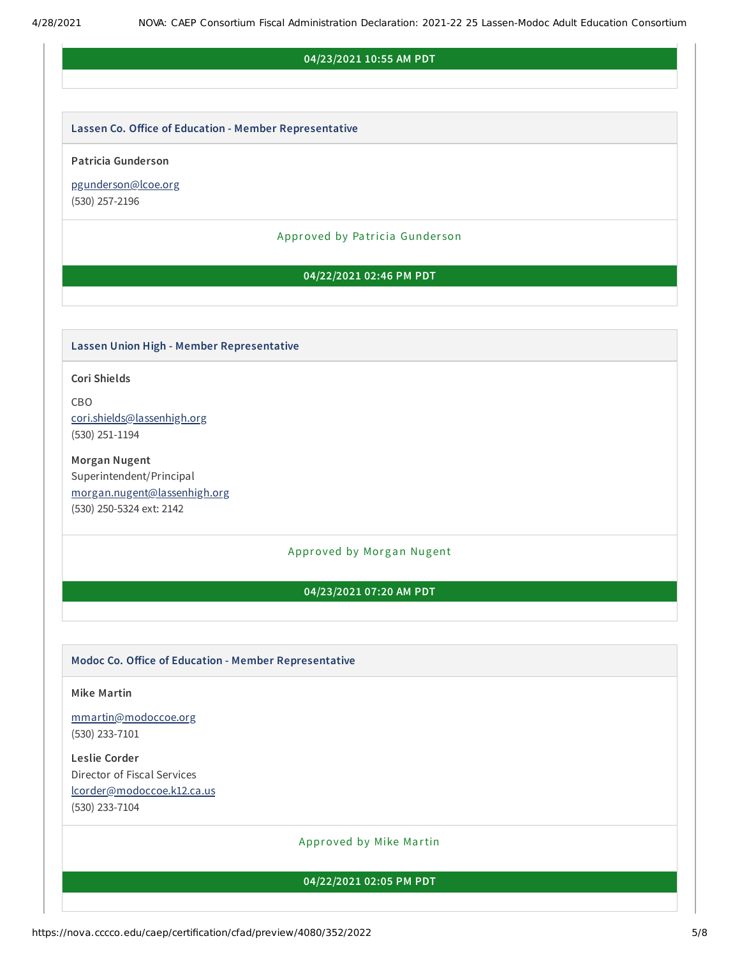#### **04/23/2021 10:55 AM PDT**

#### **Lassen Co. Oice of Education - Member Representative**

#### **Patricia Gunderson**

[pgunderson@lcoe.org](mailto:pgunderson@lcoe.org) (530) 257-2196

#### Approved by Pa tricia Gunder son

### **04/22/2021 02:46 PM PDT**

#### **Lassen Union High - Member Representative**

**Cori Shields**

CBO [cori.shields@lassenhigh.org](mailto:cori.shields@lassenhigh.org) (530) 251-1194

**Morgan Nugent** Superintendent/Principal [morgan.nugent@lassenhigh.org](mailto:morgan.nugent@lassenhigh.org) (530) 250-5324 ext: 2142

#### Approved by Morgan Nugent

#### **04/23/2021 07:20 AM PDT**

#### **Modoc Co. Oice of Education - Member Representative**

**Mike Martin**

[mmartin@modoccoe.org](mailto:mmartin@modoccoe.org) (530) 233-7101

**Leslie Corder** Director of Fiscal Services [lcorder@modoccoe.k12.ca.us](mailto:lcorder@modoccoe.k12.ca.us) (530) 233-7104

#### Approved by Mike Martin

#### **04/22/2021 02:05 PM PDT**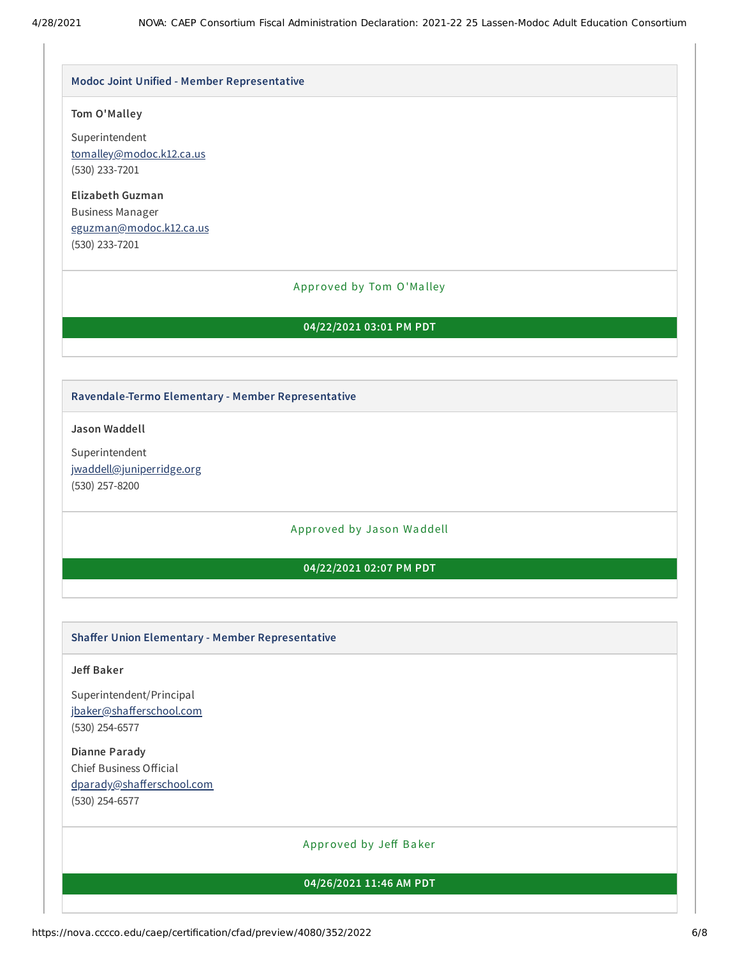# **Modoc Joint Unified - Member Representative**

# **Tom O'Malley**

Superintendent [tomalley@modoc.k12.ca.us](mailto:tomalley@modoc.k12.ca.us) (530) 233-7201

**Elizabeth Guzman** Business Manager [eguzman@modoc.k12.ca.us](mailto:eguzman@modoc.k12.ca.us) (530) 233-7201

# Approved by Tom O'Ma lley

# **04/22/2021 03:01 PM PDT**

# **Ravendale-Termo Elementary - Member Representative**

**Jason Waddell**

Superintendent [jwaddell@juniperridge.org](mailto:jwaddell@juniperridge.org) (530) 257-8200

Approved by Ja son Waddell

# **04/22/2021 02:07 PM PDT**

# **Shaer Union Elementary - Member Representative**

# **Je Baker**

Superintendent/Principal jbaker@shafferschool.com (530) 254-6577

**Dianne Parady** Chief Business Official dparady@shafferschool.com (530) 254-6577

Approved by Jeff Baker

# **04/26/2021 11:46 AM PDT**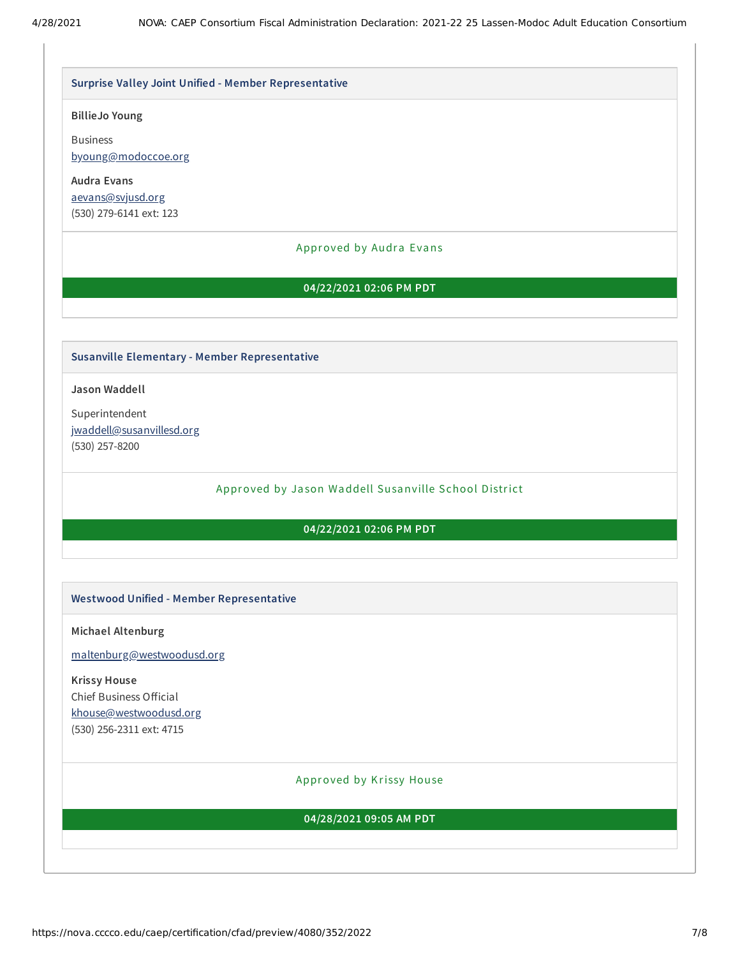#### **Surprise Valley Joint Unified - Member Representative**

#### **BillieJo Young**

Business [byoung@modoccoe.org](mailto:byoung@modoccoe.org)

**Audra Evans** [aevans@svjusd.org](mailto:aevans@svjusd.org) (530) 279-6141 ext: 123

#### Approved by Audra Evans

#### **04/22/2021 02:06 PM PDT**

#### **Susanville Elementary - Member Representative**

**Jason Waddell**

Superintendent [jwaddell@susanvillesd.org](mailto:jwaddell@susanvillesd.org) (530) 257-8200

Approved by Ja son Waddell Susanville School District

#### **04/22/2021 02:06 PM PDT**

#### **Westwood Unified - Member Representative**

**Michael Altenburg**

[maltenburg@westwoodusd.org](mailto:maltenburg@westwoodusd.org)

# **Krissy House**

Chief Business Official [khouse@westwoodusd.org](mailto:khouse@westwoodusd.org) (530) 256-2311 ext: 4715

#### Approved by Krissy House

#### **04/28/2021 09:05 AM PDT**